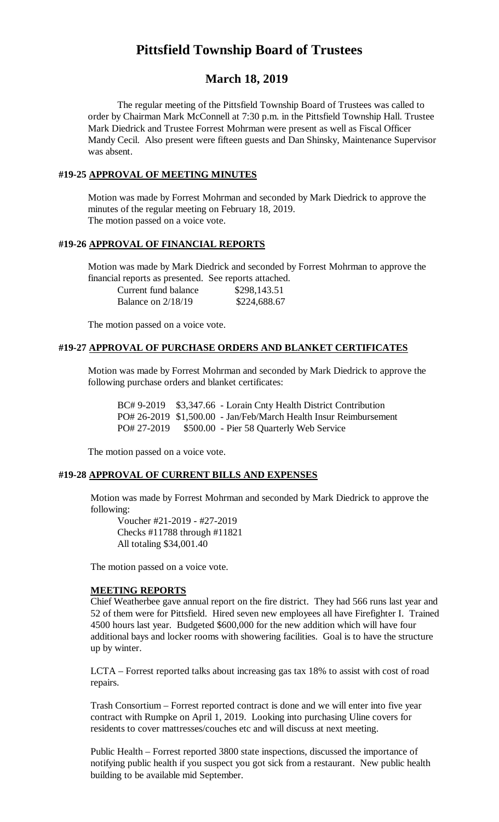# **Pittsfield Township Board of Trustees**

# **March 18, 2019**

The regular meeting of the Pittsfield Township Board of Trustees was called to order by Chairman Mark McConnell at 7:30 p.m. in the Pittsfield Township Hall. Trustee Mark Diedrick and Trustee Forrest Mohrman were present as well as Fiscal Officer Mandy Cecil. Also present were fifteen guests and Dan Shinsky, Maintenance Supervisor was absent.

# **#19-25 APPROVAL OF MEETING MINUTES**

Motion was made by Forrest Mohrman and seconded by Mark Diedrick to approve the minutes of the regular meeting on February 18, 2019. The motion passed on a voice vote.

#### **#19-26 APPROVAL OF FINANCIAL REPORTS**

Motion was made by Mark Diedrick and seconded by Forrest Mohrman to approve the financial reports as presented. See reports attached.

| Current fund balance | \$298,143.51 |
|----------------------|--------------|
| Balance on $2/18/19$ | \$224,688.67 |

The motion passed on a voice vote.

#### **#19-27 APPROVAL OF PURCHASE ORDERS AND BLANKET CERTIFICATES**

Motion was made by Forrest Mohrman and seconded by Mark Diedrick to approve the following purchase orders and blanket certificates:

BC# 9-2019 \$3,347.66 - Lorain Cnty Health District Contribution PO# 26-2019 \$1,500.00 - Jan/Feb/March Health Insur Reimbursement PO# 27-2019 \$500.00 - Pier 58 Quarterly Web Service

The motion passed on a voice vote.

#### **#19-28 APPROVAL OF CURRENT BILLS AND EXPENSES**

Motion was made by Forrest Mohrman and seconded by Mark Diedrick to approve the following:

Voucher #21-2019 - #27-2019 Checks #11788 through #11821 All totaling \$34,001.40

The motion passed on a voice vote.

#### **MEETING REPORTS**

Chief Weatherbee gave annual report on the fire district. They had 566 runs last year and 52 of them were for Pittsfield. Hired seven new employees all have Firefighter I. Trained 4500 hours last year. Budgeted \$600,000 for the new addition which will have four additional bays and locker rooms with showering facilities. Goal is to have the structure up by winter.

LCTA – Forrest reported talks about increasing gas tax 18% to assist with cost of road repairs.

Trash Consortium – Forrest reported contract is done and we will enter into five year contract with Rumpke on April 1, 2019. Looking into purchasing Uline covers for residents to cover mattresses/couches etc and will discuss at next meeting.

Public Health – Forrest reported 3800 state inspections, discussed the importance of notifying public health if you suspect you got sick from a restaurant. New public health building to be available mid September.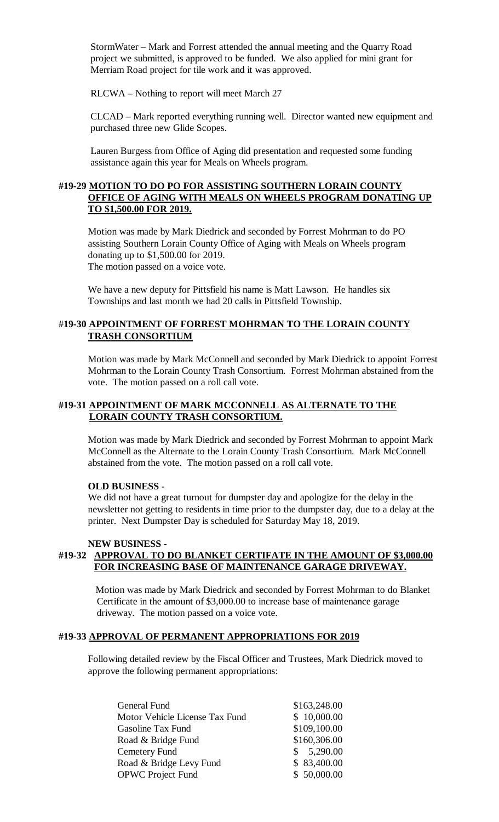StormWater – Mark and Forrest attended the annual meeting and the Quarry Road project we submitted, is approved to be funded. We also applied for mini grant for Merriam Road project for tile work and it was approved.

RLCWA – Nothing to report will meet March 27

CLCAD – Mark reported everything running well. Director wanted new equipment and purchased three new Glide Scopes.

Lauren Burgess from Office of Aging did presentation and requested some funding assistance again this year for Meals on Wheels program.

# **#19-29 MOTION TO DO PO FOR ASSISTING SOUTHERN LORAIN COUNTY OFFICE OF AGING WITH MEALS ON WHEELS PROGRAM DONATING UP TO \$1,500.00 FOR 2019.**

Motion was made by Mark Diedrick and seconded by Forrest Mohrman to do PO assisting Southern Lorain County Office of Aging with Meals on Wheels program donating up to \$1,500.00 for 2019. The motion passed on a voice vote.

We have a new deputy for Pittsfield his name is Matt Lawson. He handles six Townships and last month we had 20 calls in Pittsfield Township.

# #**19-30 APPOINTMENT OF FORREST MOHRMAN TO THE LORAIN COUNTY TRASH CONSORTIUM**

Motion was made by Mark McConnell and seconded by Mark Diedrick to appoint Forrest Mohrman to the Lorain County Trash Consortium. Forrest Mohrman abstained from the vote. The motion passed on a roll call vote.

# **#19-31 APPOINTMENT OF MARK MCCONNELL AS ALTERNATE TO THE LORAIN COUNTY TRASH CONSORTIUM.**

Motion was made by Mark Diedrick and seconded by Forrest Mohrman to appoint Mark McConnell as the Alternate to the Lorain County Trash Consortium. Mark McConnell abstained from the vote. The motion passed on a roll call vote.

#### **OLD BUSINESS -**

We did not have a great turnout for dumpster day and apologize for the delay in the newsletter not getting to residents in time prior to the dumpster day, due to a delay at the printer. Next Dumpster Day is scheduled for Saturday May 18, 2019.

#### **NEW BUSINESS -**

# **#19-32 APPROVAL TO DO BLANKET CERTIFATE IN THE AMOUNT OF \$3,000.00 FOR INCREASING BASE OF MAINTENANCE GARAGE DRIVEWAY.**

Motion was made by Mark Diedrick and seconded by Forrest Mohrman to do Blanket Certificate in the amount of \$3,000.00 to increase base of maintenance garage driveway. The motion passed on a voice vote.

#### **#19-33 APPROVAL OF PERMANENT APPROPRIATIONS FOR 2019**

Following detailed review by the Fiscal Officer and Trustees, Mark Diedrick moved to approve the following permanent appropriations:

| \$163,248.00 |
|--------------|
| \$10,000.00  |
| \$109,100.00 |
| \$160,306.00 |
| \$5,290.00   |
| \$83,400.00  |
| \$50,000.00  |
|              |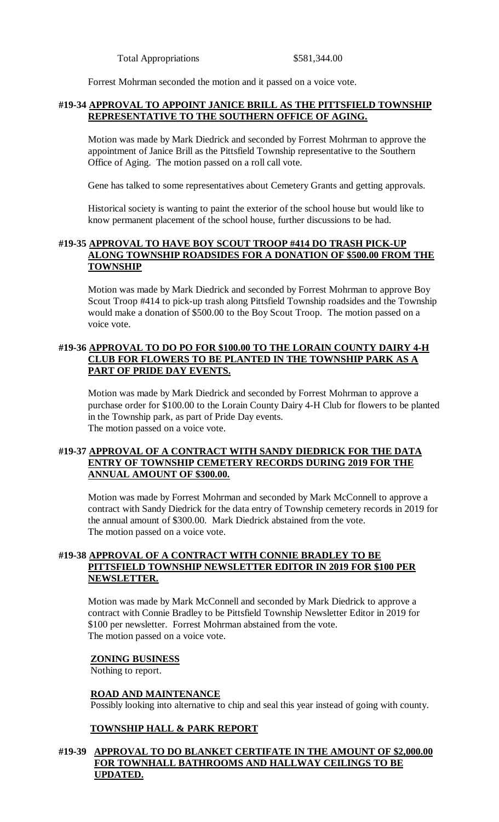Forrest Mohrman seconded the motion and it passed on a voice vote.

#### **#19-34 APPROVAL TO APPOINT JANICE BRILL AS THE PITTSFIELD TOWNSHIP REPRESENTATIVE TO THE SOUTHERN OFFICE OF AGING.**

Motion was made by Mark Diedrick and seconded by Forrest Mohrman to approve the appointment of Janice Brill as the Pittsfield Township representative to the Southern Office of Aging. The motion passed on a roll call vote.

Gene has talked to some representatives about Cemetery Grants and getting approvals.

Historical society is wanting to paint the exterior of the school house but would like to know permanent placement of the school house, further discussions to be had.

#### **#19-35 APPROVAL TO HAVE BOY SCOUT TROOP #414 DO TRASH PICK-UP ALONG TOWNSHIP ROADSIDES FOR A DONATION OF \$500.00 FROM THE TOWNSHIP**

Motion was made by Mark Diedrick and seconded by Forrest Mohrman to approve Boy Scout Troop #414 to pick-up trash along Pittsfield Township roadsides and the Township would make a donation of \$500.00 to the Boy Scout Troop. The motion passed on a voice vote.

# **#19-36 APPROVAL TO DO PO FOR \$100.00 TO THE LORAIN COUNTY DAIRY 4-H CLUB FOR FLOWERS TO BE PLANTED IN THE TOWNSHIP PARK AS A PART OF PRIDE DAY EVENTS.**

Motion was made by Mark Diedrick and seconded by Forrest Mohrman to approve a purchase order for \$100.00 to the Lorain County Dairy 4-H Club for flowers to be planted in the Township park, as part of Pride Day events. The motion passed on a voice vote.

# **#19-37 APPROVAL OF A CONTRACT WITH SANDY DIEDRICK FOR THE DATA ENTRY OF TOWNSHIP CEMETERY RECORDS DURING 2019 FOR THE ANNUAL AMOUNT OF \$300.00.**

Motion was made by Forrest Mohrman and seconded by Mark McConnell to approve a contract with Sandy Diedrick for the data entry of Township cemetery records in 2019 for the annual amount of \$300.00. Mark Diedrick abstained from the vote. The motion passed on a voice vote.

# **#19-38 APPROVAL OF A CONTRACT WITH CONNIE BRADLEY TO BE PITTSFIELD TOWNSHIP NEWSLETTER EDITOR IN 2019 FOR \$100 PER NEWSLETTER.**

Motion was made by Mark McConnell and seconded by Mark Diedrick to approve a contract with Connie Bradley to be Pittsfield Township Newsletter Editor in 2019 for \$100 per newsletter. Forrest Mohrman abstained from the vote. The motion passed on a voice vote.

#### **ZONING BUSINESS**

Nothing to report.

#### **ROAD AND MAINTENANCE**

Possibly looking into alternative to chip and seal this year instead of going with county.

#### **TOWNSHIP HALL & PARK REPORT**

#### **#19-39 APPROVAL TO DO BLANKET CERTIFATE IN THE AMOUNT OF \$2,000.00 FOR TOWNHALL BATHROOMS AND HALLWAY CEILINGS TO BE UPDATED.**